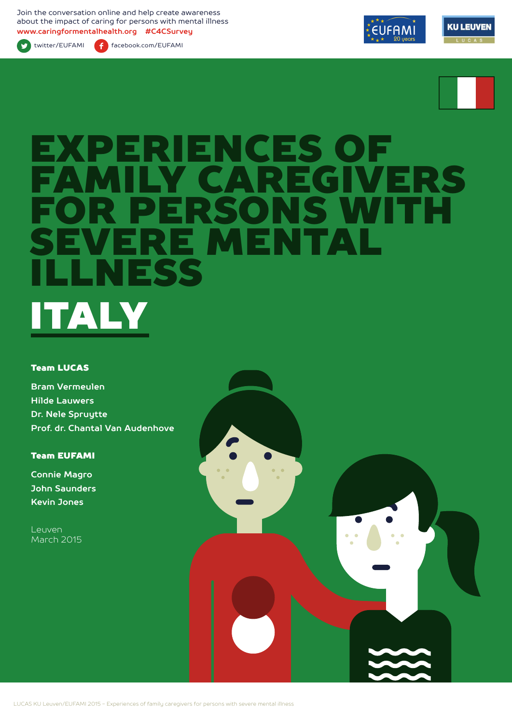Join the conversation online and help create awareness about the impact of caring for persons with mental illness **www.caringformentalhealth.org #C4CSurvey**



twitter/EUFAMI facebook.com/EUFAMI





# EXPERIENCES OF GIVERS S WITH<br>FAT ERE MEN<br>IFSS SS ITALY

#### Team LUCAS

**Bram Vermeulen Hilde Lauwers Dr. Nele Spruytte Prof. dr. Chantal Van Audenhove**

### Team EUFAMI

**Connie Magro John Saunders Kevin Jones**

Leuven March 2015

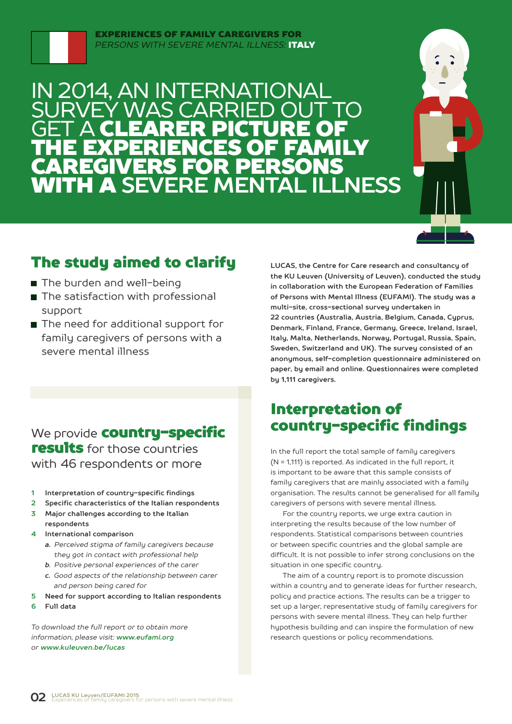

#### EXPERIENCES OF FAMILY CAREGIVERS FOR *PERSONS WITH SEVERE MENTAL ILLNESS:* ITALY

### IN 2014, AN INTERNATIONAL SURVEY WAS CARRIED OUT TO **GET A CLEARER PICTURE OF** THE EXPERIENCES OF FAMILY CAREGIVERS FOR PERSONS WITH A **SEVERE MENTAL ILLNESS**



### The study aimed to clarify

- The burden and well-being
- The satisfaction with professional support
- The need for additional support for family caregivers of persons with a severe mental illness

### We provide **country-specific** results for those countries with 46 respondents or more

- **1 Interpretation of country-specific findings**
- **2 Specific characteristics of the Italian respondents**
- **3 Major challenges according to the Italian respondents**
- **4 International comparison**
	- *a. Perceived stigma of family caregivers because they got in contact with professional help*
	- *b. Positive personal experiences of the carer*
	- *c. Good aspects of the relationship between carer and person being cared for*
- **5 Need for support according to Italian respondents**
- **6 Full data**

*To download the full report or to obtain more information, please visit: www.eufami.org or www.kuleuven.be/lucas*

**LUCAS, the Centre for Care research and consultancy of the KU Leuven (University of Leuven), conducted the study in collaboration with the European Federation of Families of Persons with Mental Illness (EUFAMI). The study was a multi-site, cross-sectional survey undertaken in 22 countries (Australia, Austria, Belgium, Canada, Cyprus, Denmark, Finland, France, Germany, Greece, Ireland, Israel, Italy, Malta, Netherlands, Norway, Portugal, Russia, Spain, Sweden, Switzerland and UK). The survey consisted of an anonymous, self-completion questionnaire administered on paper, by email and online. Questionnaires were completed by 1,111 caregivers.** 

### Interpretation of country-specific findings

In the full report the total sample of family caregivers (N = 1,111) is reported. As indicated in the full report, it is important to be aware that this sample consists of family caregivers that are mainly associated with a family organisation. The results cannot be generalised for all family caregivers of persons with severe mental illness.

For the country reports, we urge extra caution in interpreting the results because of the low number of respondents. Statistical comparisons between countries or between specific countries and the global sample are difficult. It is not possible to infer strong conclusions on the situation in one specific country.

The aim of a country report is to promote discussion within a country and to generate ideas for further research, policy and practice actions. The results can be a trigger to set up a larger, representative study of family caregivers for persons with severe mental illness. They can help further hypothesis building and can inspire the formulation of new research questions or policy recommendations.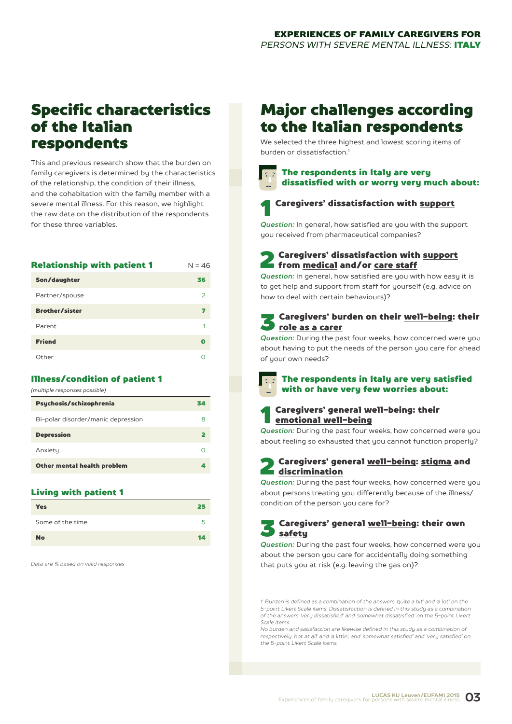### Specific characteristics of the Italian respondents

This and previous research show that the burden on family caregivers is determined by the characteristics of the relationship, the condition of their illness, and the cohabitation with the family member with a severe mental illness. For this reason, we highlight the raw data on the distribution of the respondents for these three variables.

| <b>Relationship with patient 1</b> | $N = 46$    |
|------------------------------------|-------------|
| Son/daughter                       | 36          |
| Partner/spouse                     | 2           |
| <b>Brother/sister</b>              | 7           |
| Parent                             |             |
| <b>Friend</b>                      | $\mathbf 0$ |
| Other                              |             |

#### Illness/condition of patient 1

| Psychosis/schizophrenia            | 34 |
|------------------------------------|----|
| Bi-polar disorder/manic depression | 8  |
| <b>Depression</b>                  | 2  |
| Anxiety                            | Ω  |
| Other mental health problem        | А  |

#### Living with patient 1

| <b>Yes</b>       | 25 |
|------------------|----|
| Some of the time | ∽  |
| <b>No</b>        | 14 |

*Data are % based on valid responses*

### Major challenges according to the Italian respondents

We selected the three highest and lowest scoring items of burden or dissatisfaction<sup>1</sup>

### The respondents in Italy are very dissatisfied with or worry very much about:



### Caregivers' dissatisfaction with support

*Question:* In general, how satisfied are you with the support you received from pharmaceutical companies?

**2** Caregivers' dissatisfaction with support<br>from <u>medical</u> and/or care staff

*Question:* In general, how satisfied are you with how easy it is to get help and support from staff for yourself (e.g. advice on how to deal with certain behaviours)?

### Caregivers' burden on their well-being: their role as a carer

*Question:* During the past four weeks, how concerned were you about having to put the needs of the person you care for ahead of your own needs?

- The respondents in Italy are very satisfied with or have very few worries about:
- 1 Caregivers' general well-being: their emotional well-being

*Question:* During the past four weeks, how concerned were you about feeling so exhausted that you cannot function properly?

### Caregivers' general well-being: stigma and discrimination

*Question:* During the past four weeks, how concerned were you about persons treating you differently because of the illness/ condition of the person you care for?

### 3 Caregivers' general well-being: their own **Safetu**

*Question:* During the past four weeks, how concerned were you about the person you care for accidentally doing something that puts you at risk (e.g. leaving the gas on)?

*1. Burden is defined as a combination of the answers 'quite a bit' and 'a lot' on the 5-point Likert Scale items. Dissatisfaction is defined in this study as a combination of the answers 'very dissatisfied' and 'somewhat dissatisfied' on the 5-point Likert Scale items.*

*No burden and satisfaction are likewise defined in this study as a combination of respectively 'not at all' and 'a little', and 'somewhat satisfied' and 'very satisfied' on the 5-point Likert Scale items.*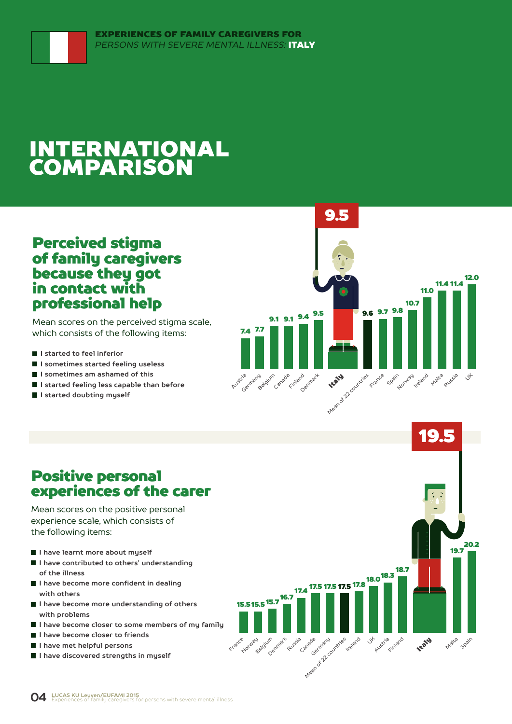## INTERNATIONAL COMPARISON

### Perceived stigma of family caregivers because they got in contact with professional help

Mean scores on the perceived stigma scale, which consists of the following items:

- **I started to feel inferior**
- **I sometimes started feeling useless**
- **I sometimes am ashamed of this**
- **I started feeling less capable than before**
- **I started doubting myself**



### Positive personal experiences of the carer

Mean scores on the positive personal experience scale, which consists of the following items:

- **I have learnt more about myself**
- **I have contributed to others' understanding of the illness**
- **I have become more confident in dealing with others**
- **I have become more understanding of others with problems**
- **I have become closer to some members of my family**
- **I have become closer to friends**
- **I have met helpful persons**
- **I have discovered strengths in myself**

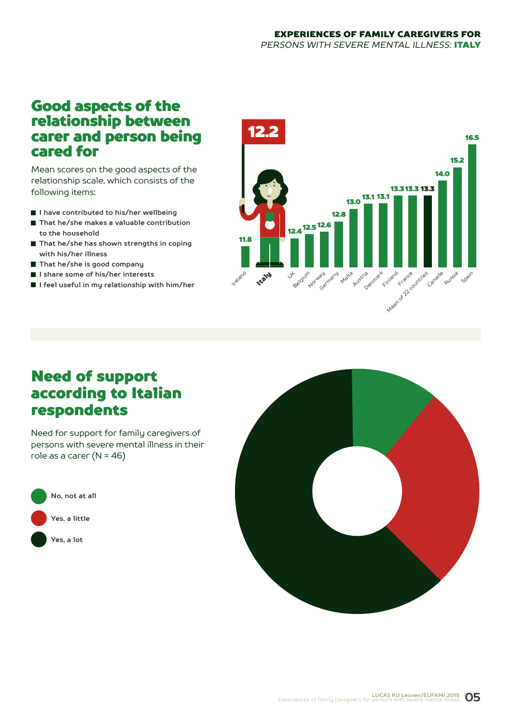### Good aspects of the relationship between carer and person being cared for

Mean scores on the good aspects of the relationship scale, which consists of the following items:

- **I have contributed to his/her wellbeing**
- That he/she makes a valuable contribution **to the household**
- **That he/she has shown strengths in coping with his/her illness**
- **That he/she is good company**
- **I share some of his/her interests**
- **I feel useful in my relationship with him/her**



### Need of support according to Italian respondents

Need for support for family caregivers of persons with severe mental illness in their role as a carer  $(N = 46)$ 



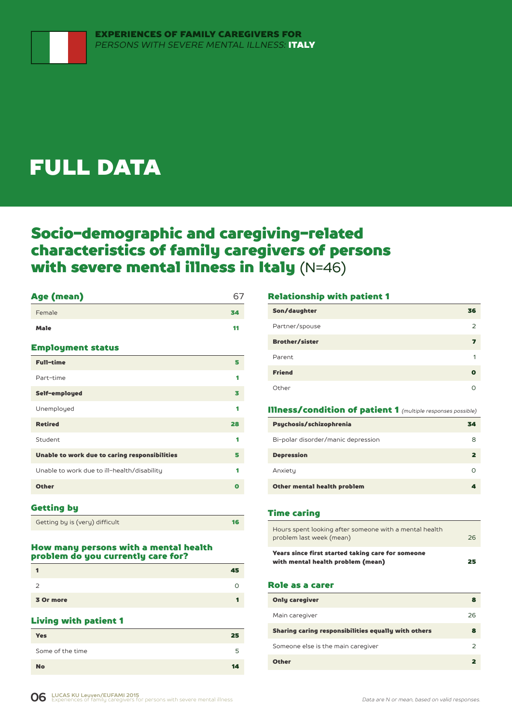# FULL DATA

### Socio-demographic and caregiving-related characteristics of family caregivers of persons with severe mental illness in Italy (N=46)

### Female 34 September 2014 and 2014 and 2014 and 2014 and 34 September 2014 and 34 September 2014 and Male **11** and 11 and 11 and 12 and 12 and 12 and 12 and 12 and 12 and 12 and 12 and 12 and 12 and 12 and 12 and 12

#### Employment status

| <b>Full-time</b>                              | 5  |
|-----------------------------------------------|----|
| Part-time                                     | 1  |
| Self-employed                                 | 3  |
| Unemployed                                    | 1  |
| <b>Retired</b>                                | 28 |
| Student                                       | 1  |
| Unable to work due to caring responsibilities | 5  |
| Unable to work due to ill-health/disability   | 1  |
| <b>Other</b>                                  | Ω  |
|                                               |    |

Age (mean) 67

#### Getting by

| Getting by is (very) difficult |
|--------------------------------|
|--------------------------------|

#### How many persons with a mental health problem do you currently care for?

|           | 45 |
|-----------|----|
|           |    |
| 3 Or more |    |

### Living with patient 1

| 25 |
|----|
| 5  |
| 14 |
|    |

#### Relationship with patient 1

| Son/daughter          | 36            |
|-----------------------|---------------|
| Partner/spouse        | $\mathcal{P}$ |
| <b>Brother/sister</b> | ь,            |
| Parent                | 1             |
| <b>Friend</b>         | О             |
| Other                 |               |

#### Illness/condition of patient 1 *(multiple responses possible)*

| Psychosis/schizophrenia            | 34 |
|------------------------------------|----|
| Bi-polar disorder/manic depression | 8  |
| <b>Depression</b>                  |    |
| Anxiety                            |    |
| Other mental health problem        |    |

#### Time caring

| Hours spent looking after someone with a mental health<br>problem last week (mean)     | 26 |
|----------------------------------------------------------------------------------------|----|
| Years since first started taking care for someone<br>with mental health problem (mean) | 25 |

#### Role as a carer

| <b>Only caregiver</b>                               | 8  |
|-----------------------------------------------------|----|
| Main caregiver                                      | 26 |
| Sharing caring responsibilities equally with others | 8  |
| Someone else is the main caregiver                  |    |
| <b>Other</b>                                        |    |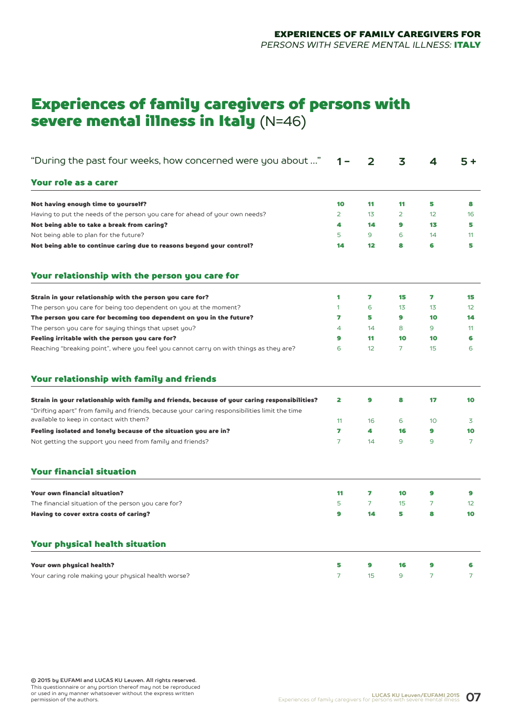### Experiences of family caregivers of persons with severe mental illness in Italy (N=46)

| "During the past four weeks, how concerned were you about "                                                                                                                                                                               | 1 –                 | 2       | 3              | 4              | $5+$                 |
|-------------------------------------------------------------------------------------------------------------------------------------------------------------------------------------------------------------------------------------------|---------------------|---------|----------------|----------------|----------------------|
| Your role as a carer                                                                                                                                                                                                                      |                     |         |                |                |                      |
| Not having enough time to yourself?                                                                                                                                                                                                       | 10                  | 11      | 11             | 5              | 8                    |
| Having to put the needs of the person you care for ahead of your own needs?                                                                                                                                                               | $\overline{2}$      | 13      | $\overline{2}$ | 12             | 16                   |
| Not being able to take a break from caring?                                                                                                                                                                                               | 4                   | 14      | 9              | 13             | 5                    |
| Not being able to plan for the future?                                                                                                                                                                                                    | 5                   | 9       | 6              | 14             | 11                   |
| Not being able to continue caring due to reasons beyond your control?                                                                                                                                                                     | 14                  | $12 \,$ | 8              | 6              | 5                    |
| Your relationship with the person you care for                                                                                                                                                                                            |                     |         |                |                |                      |
| Strain in your relationship with the person you care for?                                                                                                                                                                                 | 1                   | 7       | 15             | 7              | 15                   |
| The person you care for being too dependent on you at the moment?                                                                                                                                                                         | 1                   | 6       | 13             | 13             | 12 <sup>2</sup>      |
| The person you care for becoming too dependent on you in the future?                                                                                                                                                                      | 7                   | 5       | 9              | 10             | 14                   |
| The person you care for saying things that upset you?                                                                                                                                                                                     | 4                   | 14      | 8              | 9              | 11                   |
| Feeling irritable with the person you care for?                                                                                                                                                                                           | 9                   | 11      | 10             | 10             | 6                    |
| Reaching "breaking point", where you feel you cannot carry on with things as they are?                                                                                                                                                    | 6                   | 12      | 7              | 15             | 6                    |
| Your relationship with family and friends                                                                                                                                                                                                 |                     |         |                |                |                      |
| Strain in your relationship with family and friends, because of your caring responsibilities?<br>"Drifting apart" from family and friends, because your caring responsibilities limit the time<br>available to keep in contact with them? | 2                   | 9       | 8              | 17             | 10                   |
|                                                                                                                                                                                                                                           | 11                  | 16      | 6              | 10             | 3                    |
| Feeling isolated and lonely because of the situation you are in?<br>Not getting the support you need from family and friends?                                                                                                             | 7<br>$\overline{7}$ | 4<br>14 | 16<br>9        | 9<br>9         | 10<br>$\overline{7}$ |
| <b>Your financial situation</b>                                                                                                                                                                                                           |                     |         |                |                |                      |
| <b>Your own financial situation?</b>                                                                                                                                                                                                      | 11                  | 7       | 10             | 9              | 9                    |
| The financial situation of the person you care for?                                                                                                                                                                                       | 5                   | 7       | 15             | 7              | 12 <sup>°</sup>      |
| Having to cover extra costs of caring?                                                                                                                                                                                                    | 9                   | 14      | 5              | 8              | 10                   |
| <b>Your physical health situation</b>                                                                                                                                                                                                     |                     |         |                |                |                      |
| Your own physical health?                                                                                                                                                                                                                 | 5                   | 9       | 16             | 9              | 6                    |
| Your caring role making your physical health worse?                                                                                                                                                                                       | $\overline{7}$      | 15      | 9              | $\overline{7}$ | 7                    |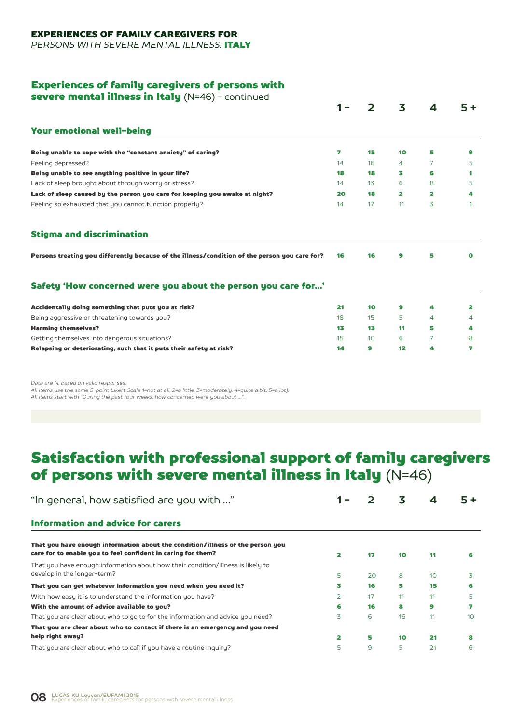#### EXPERIENCES OF FAMILY CAREGIVERS FOR

*PERSONS WITH SEVERE MENTAL ILLNESS:* ITALY

#### Experiences of family caregivers of persons with

severe mental illness in Italy (N=46) - continued

|                                                                                               |    |                 | 3  | 4 | $5+$ |
|-----------------------------------------------------------------------------------------------|----|-----------------|----|---|------|
| <b>Your emotional well-being</b>                                                              |    |                 |    |   |      |
| Being unable to cope with the "constant anxiety" of caring?                                   | 7  | 15              | 10 | 5 | 9    |
| Feeling depressed?                                                                            | 14 | 16              | 4  | 7 | 5    |
| Being unable to see anything positive in your life?                                           | 18 | 18              | 3  | 6 | 1    |
| Lack of sleep brought about through worry or stress?                                          | 14 | 13              | 6  | 8 | 5    |
| Lack of sleep caused by the person you care for keeping you awake at night?                   | 20 | 18              | 2  | 2 | 4    |
| Feeling so exhausted that you cannot function properly?                                       | 14 | 17              | 11 | 3 |      |
| <b>Stigma and discrimination</b>                                                              |    |                 |    |   |      |
| Persons treating you differently because of the illness/condition of the person you care for? | 16 | 16              | 9  | 5 | O    |
| Safety 'How concerned were you about the person you care for'                                 |    |                 |    |   |      |
|                                                                                               |    | 10              | 9  | 4 |      |
| Accidentally doing something that puts you at risk?                                           | 21 |                 |    |   | 2    |
| Being aggressive or threatening towards you?                                                  | 18 | 15              | 5  | 4 | 4    |
| <b>Harming themselves?</b>                                                                    | 13 | 13              | 11 | 5 | 4    |
| Getting themselves into dangerous situations?                                                 | 15 | 10 <sup>°</sup> | 6  | 7 | 8    |

*Data are N, based on valid responses.* 

*All items use the same 5-point Likert Scale 1=not at all, 2=a little, 3=moderately, 4=quite a bit, 5=a lot). All items start with "During the past four weeks, how concerned were you about …".*

### Satisfaction with professional support of family caregivers of persons with severe mental illness in Italy (N=46)

| "In general, how satisfied are you with "                                                                                                      |                |    | 3  | 4  |                 |
|------------------------------------------------------------------------------------------------------------------------------------------------|----------------|----|----|----|-----------------|
| <b>Information and advice for carers</b>                                                                                                       |                |    |    |    |                 |
| That you have enough information about the condition/illness of the person you<br>care for to enable you to feel confident in caring for them? | 2              | 17 | 10 | 11 | 6               |
| That you have enough information about how their condition/illness is likely to<br>develop in the longer-term?                                 | 5              | 20 | 8  | 10 | 3               |
| That you can get whatever information you need when you need it?                                                                               | 3              | 16 | 5  | 15 | 6               |
| With how easy it is to understand the information you have?                                                                                    | $\overline{2}$ | 17 | 11 | 11 | 5               |
| With the amount of advice available to you?                                                                                                    | 6              | 16 | 8  | 9  |                 |
| That you are clear about who to go to for the information and advice you need?                                                                 | 3              | 6  | 16 | 11 | 10 <sup>°</sup> |
| That you are clear about who to contact if there is an emergency and you need                                                                  |                |    |    |    |                 |
| help right away?                                                                                                                               | 2              | 5  | 10 | 21 |                 |
| That you are clear about who to call if you have a routine inquiry?                                                                            | 5              | 9  | 5  | 21 | 6               |